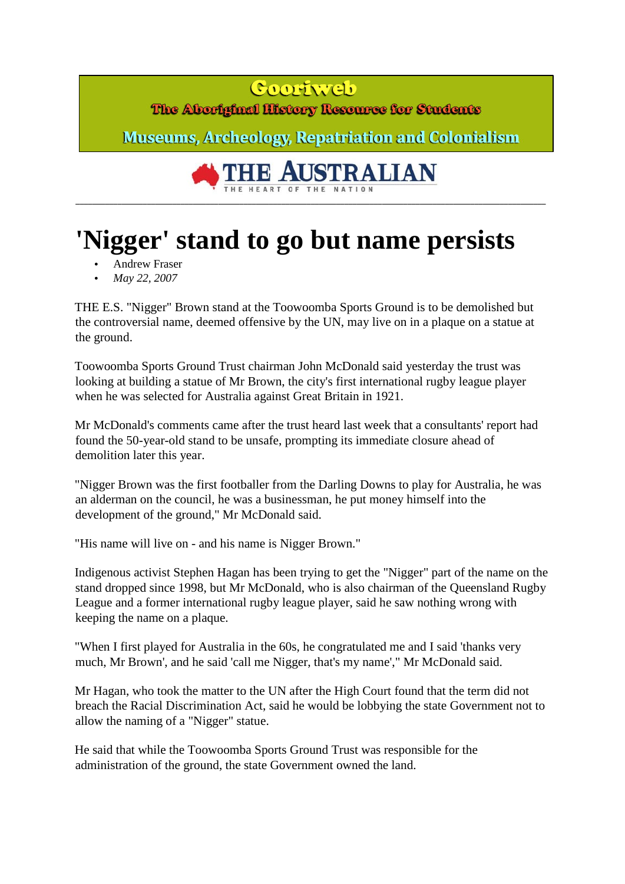## Coortweb

The Aboriginal History Resource for Students

**Museums, Archeology, Repatriation and Colonialism** 

## **AUSTRALIAN** THE HEART OF THE NATION

**\_\_\_\_\_\_\_\_\_\_\_\_\_\_\_\_\_\_\_\_\_\_\_\_\_\_\_\_\_\_\_\_\_\_\_\_\_\_\_\_\_\_\_\_\_\_\_\_\_\_\_\_\_\_\_\_\_\_\_\_\_\_\_\_\_\_\_\_\_\_\_\_\_\_\_\_\_\_\_\_\_\_\_\_\_\_\_\_\_\_\_\_\_\_\_\_\_\_\_\_\_\_\_\_\_\_\_\_\_\_\_\_** 

## **'Nigger' stand to go but name persists**

- Andrew Fraser
- *May 22, 2007*

THE E.S. "Nigger" Brown stand at the Toowoomba Sports Ground is to be demolished but the controversial name, deemed offensive by the UN, may live on in a plaque on a statue at the ground.

Toowoomba Sports Ground Trust chairman John McDonald said yesterday the trust was looking at building a statue of Mr Brown, the city's first international rugby league player when he was selected for Australia against Great Britain in 1921.

Mr McDonald's comments came after the trust heard last week that a consultants' report had found the 50-year-old stand to be unsafe, prompting its immediate closure ahead of demolition later this year.

"Nigger Brown was the first footballer from the Darling Downs to play for Australia, he was an alderman on the council, he was a businessman, he put money himself into the development of the ground," Mr McDonald said.

"His name will live on - and his name is Nigger Brown."

Indigenous activist Stephen Hagan has been trying to get the "Nigger" part of the name on the stand dropped since 1998, but Mr McDonald, who is also chairman of the Queensland Rugby League and a former international rugby league player, said he saw nothing wrong with keeping the name on a plaque.

"When I first played for Australia in the 60s, he congratulated me and I said 'thanks very much, Mr Brown', and he said 'call me Nigger, that's my name'," Mr McDonald said.

Mr Hagan, who took the matter to the UN after the High Court found that the term did not breach the Racial Discrimination Act, said he would be lobbying the state Government not to allow the naming of a "Nigger" statue.

He said that while the Toowoomba Sports Ground Trust was responsible for the administration of the ground, the state Government owned the land.